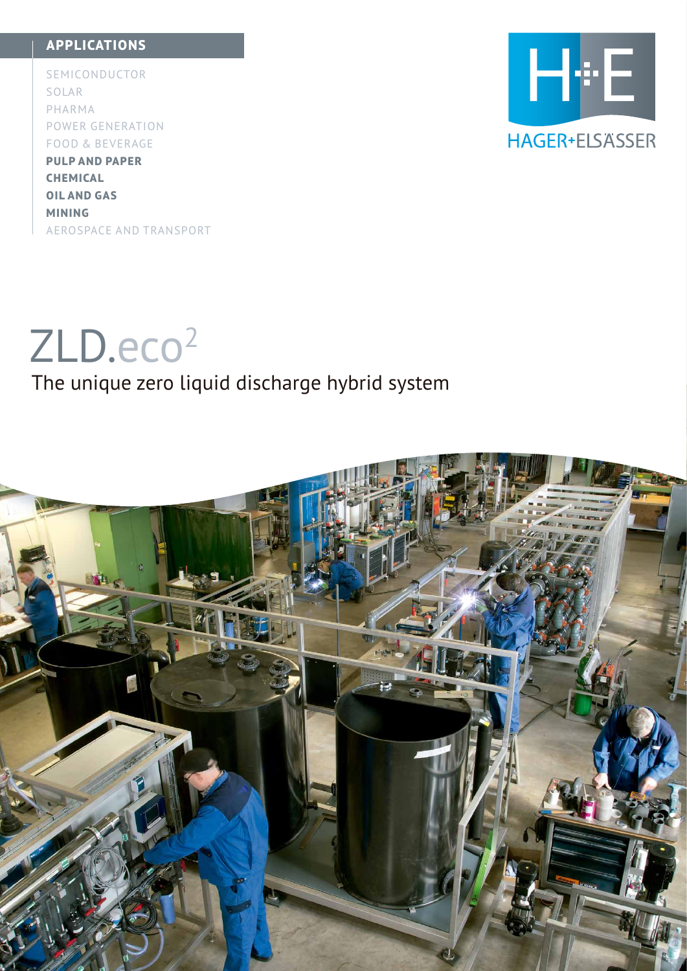### **APPLICATIONS**

SEMICONDUCTOR SOLAR PHARMA POWER GENERATION FOOD & BEVERAGE **PULP AND PAPER CHEMICAL OIL AND GAS MINING**



AEROSPACE AND TRANSPORT

# ZLD.eco<sup>2</sup>

### The unique zero liquid discharge hybrid system

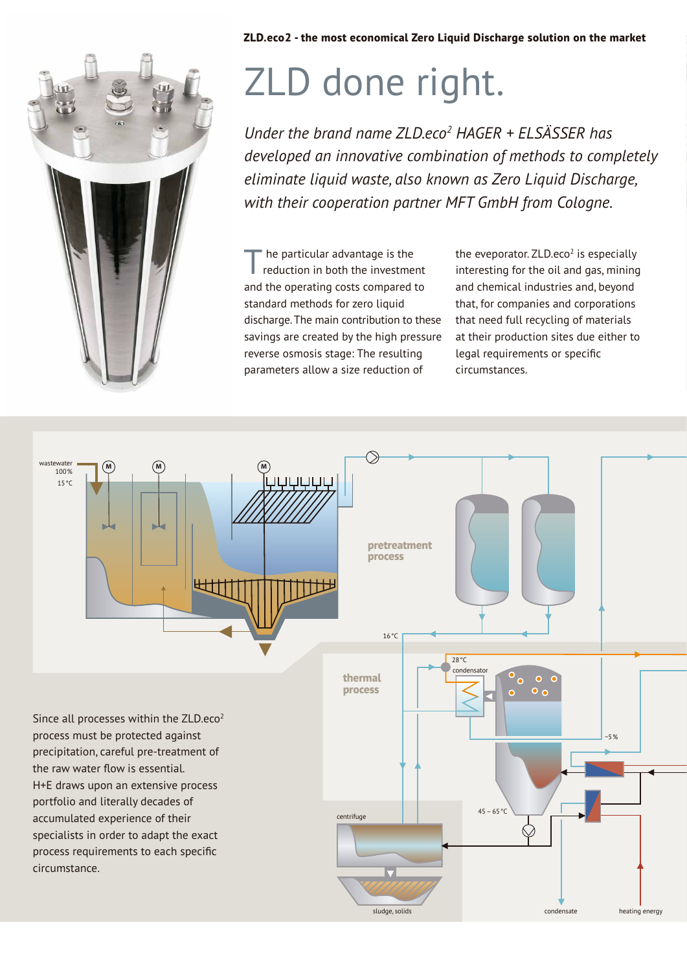

# ZLD done right.

*Under the brand name ZLD.eco2 HAGER + ELSÄSSER has developed an innovative combination of methods to completely eliminate liquid waste, also known as Zero Liquid Discharge, with their cooperation partner MFT GmbH from Cologne.*

he particular advantage is the reduction in both the investment and the operating costs compared to standard methods for zero liquid discharge. The main contribution to these savings are created by the high pressure reverse osmosis stage: The resulting parameters allow a size reduction of T

the eveporator.  $ZLD.eco<sup>2</sup>$  is especially interesting for the oil and gas, mining and chemical industries and, beyond that, for companies and corporations that need full recycling of materials at their production sites due either to legal requirements or specific circum stances.

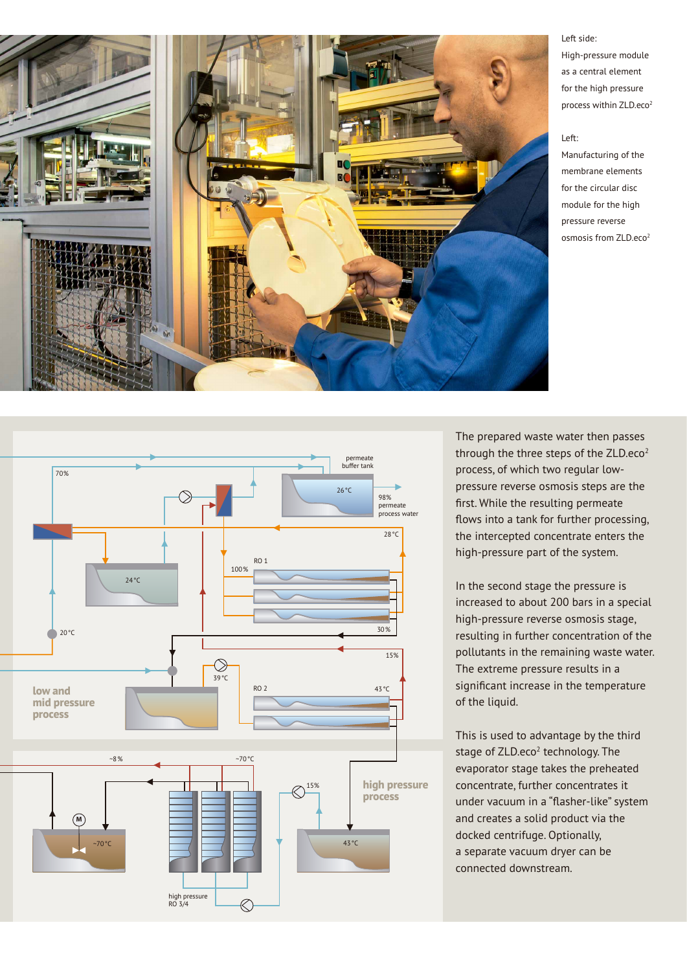

Left side: High-pressure module as a central element for the high pressure process within ZLD.eco<sup>2</sup>

#### Left:

Manufacturing of the membrane elements for the circular disc module for the high pressure reverse osmosis from ZLD.eco2

The prepared waste water then passes through the three steps of the  $ZLD.eco<sup>2</sup>$ process, of which two regular lowpressure reverse osmosis steps are the first. While the resulting permeate flows into a tank for further processing, the intercepted concentrate enters the high-pressure part of the system.

In the second stage the pressure is increased to about 200 bars in a special high-pressure reverse osmosis stage, resulting in further concentration of the pollutants in the remaining waste water. The extreme pressure results in a significant increase in the temperature of the liquid.

This is used to advantage by the third stage of ZLD.eco<sup>2</sup> technology. The evaporator stage takes the preheated concentrate, further concentrates it under vacuum in a "flasher-like" system and creates a solid product via the docked centrifuge. Optionally, a separate vacuum dryer can be connected downstream.